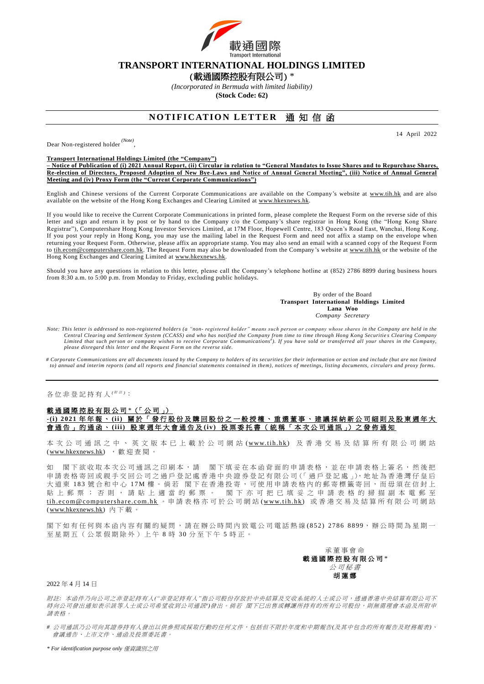

## **TRANSPORT INTERNATIONAL HOLDINGS LIMITED**

(載通國際控股有限公司) \*

*(Incorporated in Bermuda with limited liability)* **(Stock Code: 62)**

# **NOTIFICATION LETTER 涌知信函**

14 April 2022

Dear Non-registered holder *(Note)*

, **Transport International Holdings Limited (the "Company")**

**– Notice of Publication of (i) 2021 Annual Report, (ii) Circular in relation to "General Mandates to Issue Shares and to Repurchase Shares, Re-election of Directors, Proposed Adoption of New Bye-Laws and Notice of Annual General Meeting", (iii) Notice of Annual General Meeting and (iv) Proxy Form (the "Current Corporate Communications")**

English and Chinese versions of the Current Corporate Communications are available on the Company's website at [www.tih.hk](http://www.tih.hk/english.php?) and are also available on the website of the Hong Kong Exchanges and Clearing Limited at [www.hkexnews.hk.](http://www.hkexnews.hk/)

If you would like to receive the Current Corporate Communications in printed form, please complete the Request Form on the reverse side of this letter and sign and return it by post or by hand to the Company c/o the Company's share registrar in Hong Kong (the "Hong Kong Share Registrar"), Computershare Hong Kong Investor Services Limited, at 17M Floor, Hopewell Centre, 183 Queen's Road East, Wanchai, Hong Kong. If you post your reply in Hong Kong, you may use the mailing label in the Request Form and need not affix a stamp on the envelope when returning your Request Form. Otherwise, please affix an appropriate stamp. You may also send an email with a scanned copy of the Request Form to [tih.ecom@computershare.com.hk.](mailto:tih.ecom@computershare.com.hk) The Request Form may also be downloaded from the Company's website at [www.tih.hk](http://www.tih.hk/english.php?) or the website of the Hong Kong Exchanges and Clearing Limited a[t www.hkexnews.hk.](http://www.hkexnews.hk/)

Should you have any questions in relation to this letter, please call the Company's telephone hotline at (852) 2786 8899 during business hours from 8:30 a.m. to 5:00 p.m. from Monday to Friday, excluding public holidays.

> By order of the Board **Transport International Holdings Limited Lana Woo** *Company Secretary*

*Note: This letter is addressed to non-registered holders (a "non- registered holder" means such person or company whose shares in the Company are held in the*  Central Clearing and Settlement System (CCASS) and who has notified the Company from time to time through Hong Kong Securities Clearing Company<br>Limited that such person or company wishes to receive Corporate Communications *please disregard this letter and the Request Form on the reverse side.*

*# Corporate Communications are all documents issued by the Company to holders of its securities for their information or action and include (but are not limited to) annual and interim reports (and all reports and financial statements contained in them), notices of meetings, listing documents, circulars and proxy forms.*

#### 各位非登記持有人<sup>( / / 注)</sup>:

### 載 通 國 際 控 股 有 限 公 司 \*(「 公 司 」) **-(i) 2021** 年 年 報 、 **(ii)** 關 於 「 發 行 股 份 及 購 回 股 份 之 一 般 授 權 、 重 選 董 事 、 建 議 採 納 新 公 司 細 則 及 股 東 週 年 大 會 通 告 」 的 通 函 、 **(iii)** 股 東 週 年 大 會 通 告 及 **(iv )** 投 票 委 托 書 ( 統 稱 「 本 次 公 司 通 訊 」) 之 發 佈 通 知

本 次 公 司 通 訊 之 中 、 英 文 版 本 已 上 載 於 公 司 網 站 (www.tih.hk) 及 香 港 交 易 及 結 算 所 有 限 公 司 網 站 [\(www.hkexnews.hk\)](https://www.hkexnews.hk/index_c.htm) , 歡 迎 查 閱 。

如 閣下欲收取本次公司通訊之印刷本,請 閣下填妥在本函背面的申請表格,並在申請表格上簽名,然後把 申請表格寄回或親手交回公司之過戶登記處香港中央證券登記有限公司(「過戶登記處」),地址為香港灣仔皇后 大道東 183 號合和中心 17M 樓。倘若 閣下在香港投寄,可使用申請表格內的郵寄標籤寄回,而毋須在信封上 貼上 郵 票 ; 否 則 , 請 貼 上 適 當 的 郵 票 。 閣 下 亦 可 把 已 填 妥 之 申 請 表 格 的 掃 描 副 本 電 郵 至 tih.ecom@computershare.com.hk 。申 請 表 格 亦 可 於 公 司 網 站 (www.tih.hk) 或 香 港 交 易 及 結 算 所 有 限 公 司 網 站 [\(www.hkexnews.hk\)](https://www.hkexnews.hk/index_c.htm) 內下載

閣下如有任何與本函內容有關的疑問,請在辦公時間內致電公司電話熱線(852) 2786 8899,辦公時間為星期一 至星期五(公眾假期除外)上午8時30分至下午5時正。



2022 年 4 月 14 日

附註*:* 本函件乃向公司之非登記持有人*("*非登記持有人*"*指公司股份存放於中央結算及交收系統的人士或公司,透過香港中央結算有限公司不 時向公司發出通知表示該等人士或公司希望收到公司通訊")發出。倘若 閣下已出售或轉讓所持有的所有公司股份,則無需理會本函及所附申 請表格。

*#* 公司通訊乃公司向其證券持有人發出以供參照或採取行動的任何文件,包括但不限於年度和中期報告*(*及其中包含的所有報告及財務報表*)*、 會議通告、上市文件、通函及投票委託書。

*\* For identification purpose only* 僅資識別之用